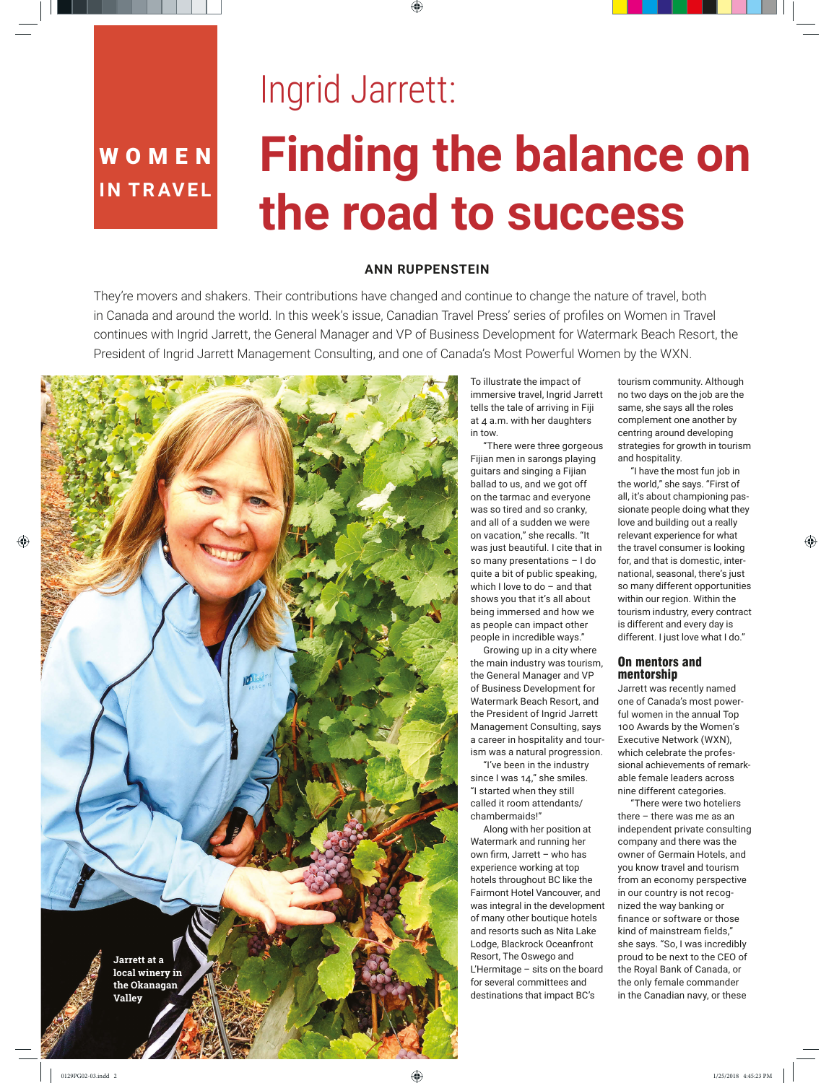## WOMEN<sup>1</sup> **IN TRAVEL**

# Ingrid Jarrett: **Finding the balance on the road to success**

### **ANN RUPPENSTEIN**

They're movers and shakers. Their contributions have changed and continue to change the nature of travel, both in Canada and around the world. In this week's issue, Canadian Travel Press' series of profiles on Women in Travel continues with Ingrid Jarrett, the General Manager and VP of Business Development for Watermark Beach Resort, the President of Ingrid Jarrett Management Consulting, and one of Canada's Most Powerful Women by the WXN.



To illustrate the impact of immersive travel, Ingrid Jarrett tells the tale of arriving in Fiji at 4 a.m. with her daughters in tow.

"There were three gorgeous Fijian men in sarongs playing guitars and singing a Fijian ballad to us, and we got off on the tarmac and everyone was so tired and so cranky, and all of a sudden we were on vacation," she recalls. "It was just beautiful. I cite that in so many presentations – I do quite a bit of public speaking, which I love to do – and that shows you that it's all about being immersed and how we as people can impact other people in incredible ways."

Growing up in a city where the main industry was tourism, the General Manager and VP of Business Development for Watermark Beach Resort, and the President of Ingrid Jarrett Management Consulting, says a career in hospitality and tourism was a natural progression.

"I've been in the industry since I was 14," she smiles. "I started when they still called it room attendants/ chambermaids!"

Along with her position at Watermark and running her own firm, Jarrett – who has experience working at top hotels throughout BC like the Fairmont Hotel Vancouver, and was integral in the development of many other boutique hotels and resorts such as Nita Lake Lodge, Blackrock Oceanfront Resort, The Oswego and L'Hermitage – sits on the board for several committees and destinations that impact BC's

tourism community. Although no two days on the job are the same, she says all the roles complement one another by centring around developing strategies for growth in tourism and hospitality.

"I have the most fun job in the world," she says. "First of all, it's about championing passionate people doing what they love and building out a really relevant experience for what the travel consumer is looking for, and that is domestic, international, seasonal, there's just so many different opportunities within our region. Within the tourism industry, every contract is different and every day is different. I just love what I do."

#### On mentors and mentorship

Jarrett was recently named one of Canada's most powerful women in the annual Top 100 Awards by the Women's Executive Network (WXN), which celebrate the professional achievements of remarkable female leaders across nine different categories.

"There were two hoteliers there – there was me as an independent private consulting company and there was the owner of Germain Hotels, and you know travel and tourism from an economy perspective in our country is not recognized the way banking or finance or software or those kind of mainstream fields," she says. "So, I was incredibly proud to be next to the CEO of the Royal Bank of Canada, or the only female commander in the Canadian navy, or these